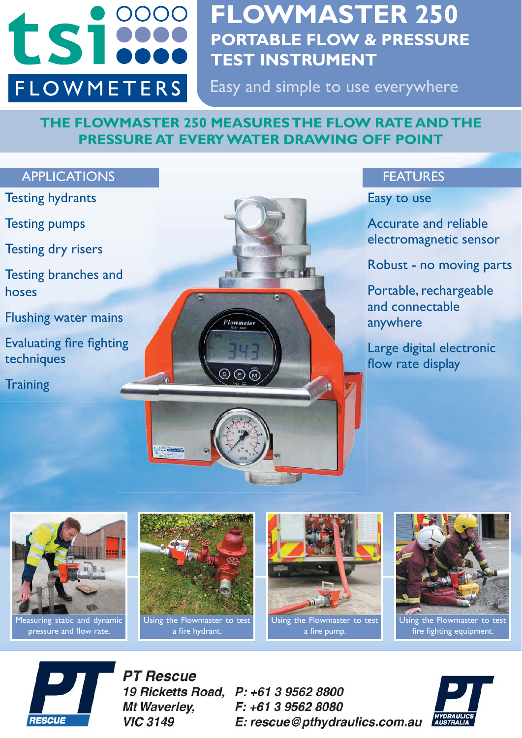

# **FLOWMASTER 250 PORTABLE FLOW & PRESSURE TEST INSTRUMENT**

Easy and simple to use everywhere

# **THE FLOWMASTER 250 MEASURES THE FLOW RATE AND THE PRESSURE AT EVERY WATER DRAWING OFF POINT**





Using the Flowmaster to test a fire hydrant.

Using the Flowmaster to test a fire pump.

Using the Flowmaster to test fire fighting equipment.



**PT Rescue** 19 Ricketts Road, Mt Waverlev. **VIC 3149** 

P: +61 3 9562 8800 F: +61 3 9562 8080 E: rescue@pthydraulics.com.au